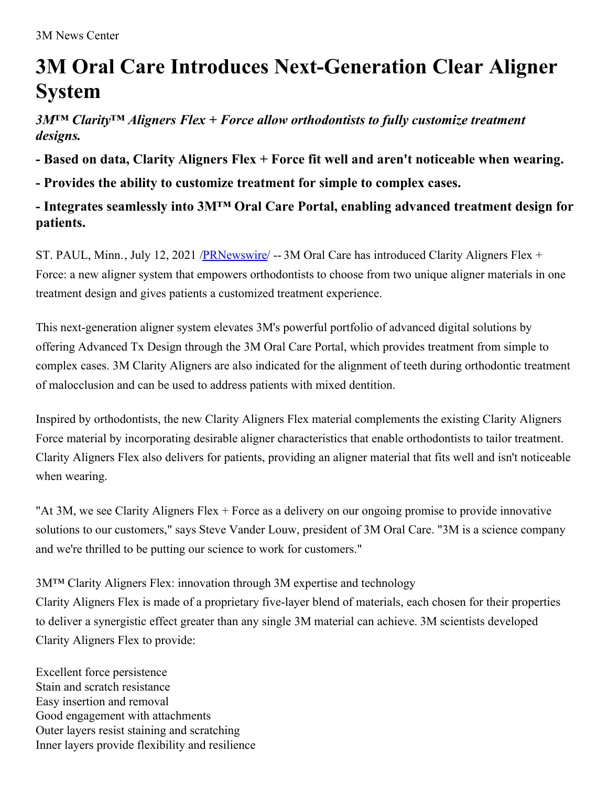## **3M Oral Care Introduces Next-Generation Clear Aligner System**

*3M™ Clarity™ Aligners Flex + Force allow orthodontists to fully customize treatment designs.*

**- Based on data, Clarity Aligners Flex + Force fit well and aren't noticeable when wearing.**

**- Provides the ability to customize treatment for simple to complex cases.**

## **- Integrates seamlessly into 3M™ Oral Care Portal, enabling advanced treatment design for patients.**

ST. PAUL, Minn., July 12, 2021 [/PRNewswire](http://www.prnewswire.com/)/ -- 3M Oral Care has introduced Clarity Aligners Flex + Force: a new aligner system that empowers orthodontists to choose from two unique aligner materials in one treatment design and gives patients a customized treatment experience.

This next-generation aligner system elevates 3M's powerful portfolio of advanced digital solutions by offering Advanced Tx Design through the 3M Oral Care Portal, which provides treatment from simple to complex cases. 3M Clarity Aligners are also indicated for the alignment of teeth during orthodontic treatment of malocclusion and can be used to address patients with mixed dentition.

Inspired by orthodontists, the new Clarity Aligners Flex material complements the existing Clarity Aligners Force material by incorporating desirable aligner characteristics that enable orthodontists to tailor treatment. Clarity Aligners Flex also delivers for patients, providing an aligner material that fits well and isn't noticeable when wearing.

"At 3M, we see Clarity Aligners Flex + Force as a delivery on our ongoing promise to provide innovative solutions to our customers," says Steve Vander Louw, president of 3M Oral Care. "3M is a science company and we're thrilled to be putting our science to work for customers."

3M™ Clarity Aligners Flex: innovation through 3M expertise and technology Clarity Aligners Flex is made of a proprietary five-layer blend of materials, each chosen for their properties to deliver a synergistic effect greater than any single 3M material can achieve. 3M scientists developed Clarity Aligners Flex to provide:

Excellent force persistence Stain and scratch resistance Easy insertion and removal Good engagement with attachments Outer layers resist staining and scratching Inner layers provide flexibility and resilience